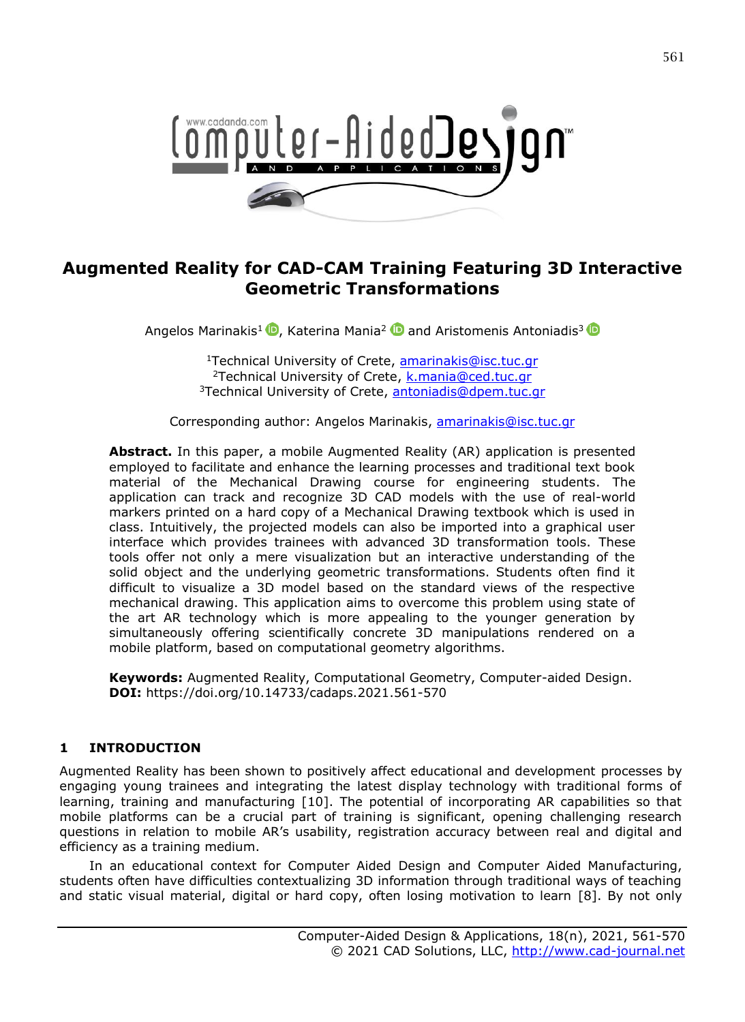

# **Augmented Reality for CAD-CAM Training Featuring 3D Interactive Geometric Transformations**

Angelos Marinakis<sup>1</sup> (D[,](https://orcid.org/0000-0002-0542-8933) Katerina Mania<sup>2</sup> (D and Aristomenis Antoniadis<sup>[3](https://orcid.org/0000-0002-4052-8374)</sup>

<sup>1</sup>Technical University of Crete, **amarinakis@isc.tuc.gr** <sup>2</sup>Technical University of Crete, **k.mania@ced.tuc.gr** <sup>3</sup>Technical University of Crete, [antoniadis@dpem.tuc.gr](mailto:antoniadis@dpem.tuc.gr)

Corresponding author: Angelos Marinakis, [amarinakis@isc.tuc.gr](mailto:amarinakis@isc.tuc.gr)

**Abstract.** In this paper, a mobile Augmented Reality (AR) application is presented employed to facilitate and enhance the learning processes and traditional text book material of the Mechanical Drawing course for engineering students. The application can track and recognize 3D CAD models with the use of real-world markers printed on a hard copy of a Mechanical Drawing textbook which is used in class. Intuitively, the projected models can also be imported into a graphical user interface which provides trainees with advanced 3D transformation tools. These tools offer not only a mere visualization but an interactive understanding of the solid object and the underlying geometric transformations. Students often find it difficult to visualize a 3D model based on the standard views of the respective mechanical drawing. This application aims to overcome this problem using state of the art AR technology which is more appealing to the younger generation by simultaneously offering scientifically concrete 3D manipulations rendered on a mobile platform, based on computational geometry algorithms.

**Keywords:** Augmented Reality, Computational Geometry, Computer-aided Design. **DOI:** https://doi.org/10.14733/cadaps.2021.561-570

#### **1 INTRODUCTION**

Augmented Reality has been shown to positively affect educational and development processes by engaging young trainees and integrating the latest display technology with traditional forms of learning, training and manufacturing [10]. The potential of incorporating AR capabilities so that mobile platforms can be a crucial part of training is significant, opening challenging research questions in relation to mobile AR's usability, registration accuracy between real and digital and efficiency as a training medium.

In an educational context for Computer Aided Design and Computer Aided Manufacturing, students often have difficulties contextualizing 3D information through traditional ways of teaching and static visual material, digital or hard copy, often losing motivation to learn [8]. By not only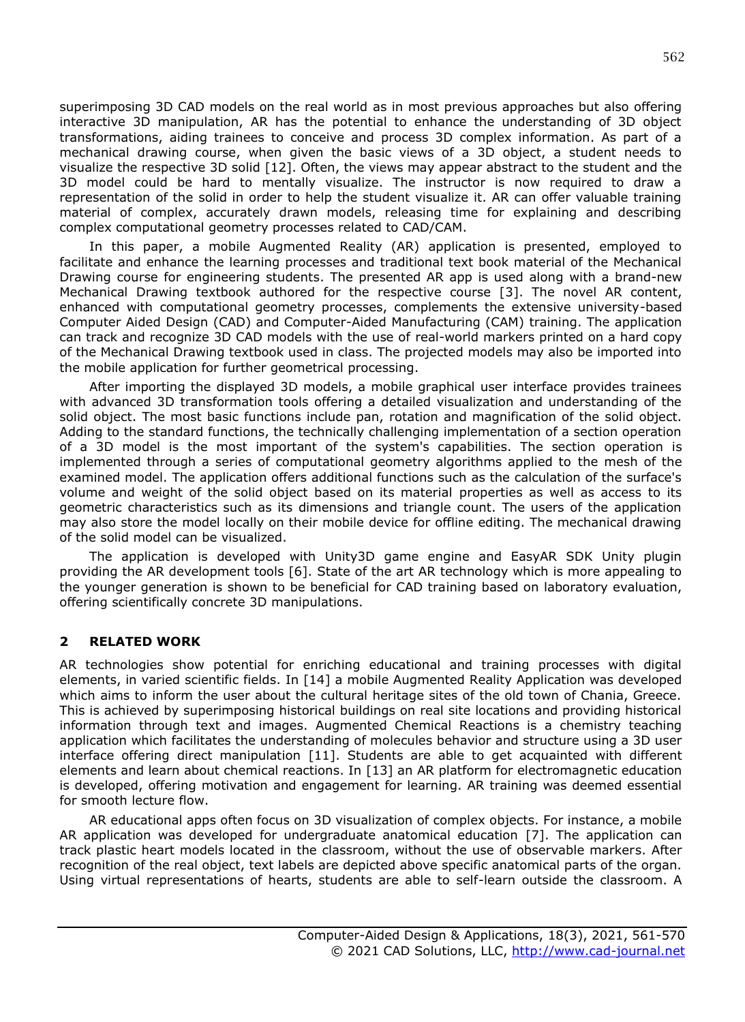superimposing 3D CAD models on the real world as in most previous approaches but also offering interactive 3D manipulation, AR has the potential to enhance the understanding of 3D object transformations, aiding trainees to conceive and process 3D complex information. As part of a mechanical drawing course, when given the basic views of a 3D object, a student needs to visualize the respective 3D solid [12]. Often, the views may appear abstract to the student and the 3D model could be hard to mentally visualize. The instructor is now required to draw a representation of the solid in order to help the student visualize it. AR can offer valuable training material of complex, accurately drawn models, releasing time for explaining and describing complex computational geometry processes related to CAD/CAM.

In this paper, a mobile Augmented Reality (AR) application is presented, employed to facilitate and enhance the learning processes and traditional text book material of the Mechanical Drawing course for engineering students. The presented AR app is used along with a brand-new Mechanical Drawing textbook authored for the respective course [3]. The novel AR content, enhanced with computational geometry processes, complements the extensive university-based Computer Aided Design (CAD) and Computer-Aided Manufacturing (CAM) training. The application can track and recognize 3D CAD models with the use of real-world markers printed on a hard copy of the Mechanical Drawing textbook used in class. The projected models may also be imported into the mobile application for further geometrical processing.

After importing the displayed 3D models, a mobile graphical user interface provides trainees with advanced 3D transformation tools offering a detailed visualization and understanding of the solid object. The most basic functions include pan, rotation and magnification of the solid object. Adding to the standard functions, the technically challenging implementation of a section operation of a 3D model is the most important of the system's capabilities. The section operation is implemented through a series of computational geometry algorithms applied to the mesh of the examined model. The application offers additional functions such as the calculation of the surface's volume and weight of the solid object based on its material properties as well as access to its geometric characteristics such as its dimensions and triangle count. The users of the application may also store the model locally on their mobile device for offline editing. The mechanical drawing of the solid model can be visualized.

The application is developed with Unity3D game engine and EasyAR SDK Unity plugin providing the AR development tools [6]. State of the art AR technology which is more appealing to the younger generation is shown to be beneficial for CAD training based on laboratory evaluation, offering scientifically concrete 3D manipulations.

#### **2 RELATED WORK**

AR technologies show potential for enriching educational and training processes with digital elements, in varied scientific fields. In [14] a mobile Augmented Reality Application was developed which aims to inform the user about the cultural heritage sites of the old town of Chania, Greece. This is achieved by superimposing historical buildings on real site locations and providing historical information through text and images. Augmented Chemical Reactions is a chemistry teaching application which facilitates the understanding of molecules behavior and structure using a 3D user interface offering direct manipulation [11]. Students are able to get acquainted with different elements and learn about chemical reactions. In [13] an AR platform for electromagnetic education is developed, offering motivation and engagement for learning. AR training was deemed essential for smooth lecture flow.

AR educational apps often focus on 3D visualization of complex objects. For instance, a mobile AR application was developed for undergraduate anatomical education [7]. The application can track plastic heart models located in the classroom, without the use of observable markers. After recognition of the real object, text labels are depicted above specific anatomical parts of the organ. Using virtual representations of hearts, students are able to self-learn outside the classroom. A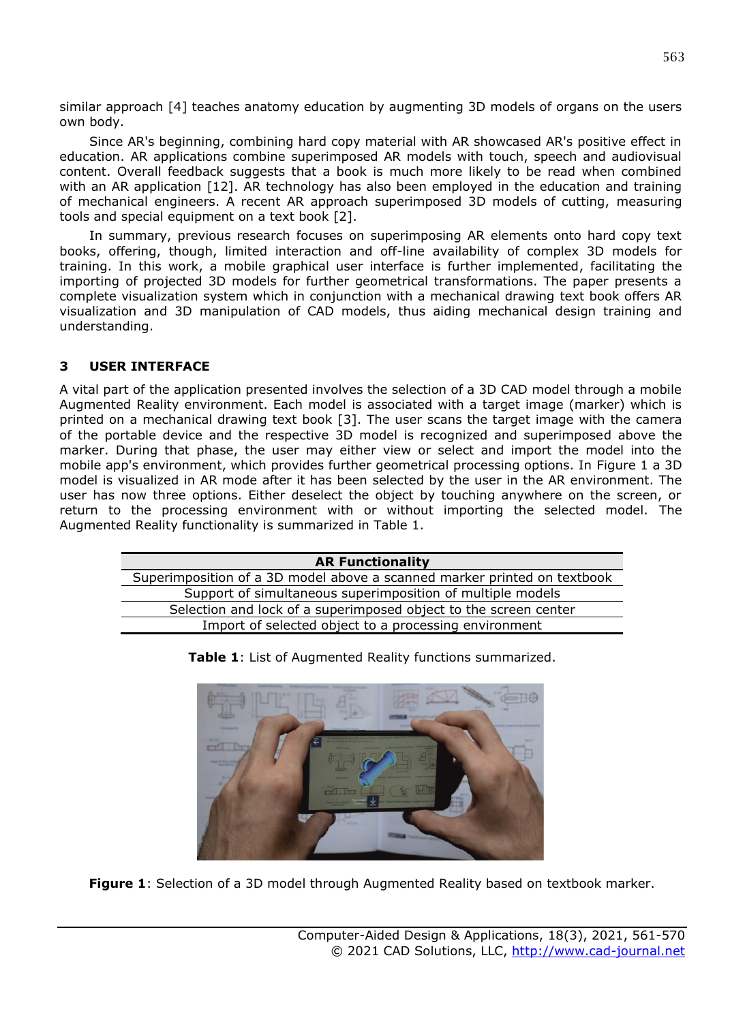similar approach [4] teaches anatomy education by augmenting 3D models of organs on the users own body.

Since AR's beginning, combining hard copy material with AR showcased AR's positive effect in education. AR applications combine superimposed AR models with touch, speech and audiovisual content. Overall feedback suggests that a book is much more likely to be read when combined with an AR application [12]. AR technology has also been employed in the education and training of mechanical engineers. A recent AR approach superimposed 3D models of cutting, measuring tools and special equipment on a text book [2].

In summary, previous research focuses on superimposing AR elements onto hard copy text books, offering, though, limited interaction and off-line availability of complex 3D models for training. In this work, a mobile graphical user interface is further implemented, facilitating the importing of projected 3D models for further geometrical transformations. The paper presents a complete visualization system which in conjunction with a mechanical drawing text book offers AR visualization and 3D manipulation of CAD models, thus aiding mechanical design training and understanding.

#### **3 USER INTERFACE**

A vital part of the application presented involves the selection of a 3D CAD model through a mobile Augmented Reality environment. Each model is associated with a target image (marker) which is printed on a mechanical drawing text book [3]. The user scans the target image with the camera of the portable device and the respective 3D model is recognized and superimposed above the marker. During that phase, the user may either view or select and import the model into the mobile app's environment, which provides further geometrical processing options. In Figure 1 a 3D model is visualized in AR mode after it has been selected by the user in the AR environment. The user has now three options. Either deselect the object by touching anywhere on the screen, or return to the processing environment with or without importing the selected model. The Augmented Reality functionality is summarized in Table 1.

| <b>AR Functionality</b>                                                  |
|--------------------------------------------------------------------------|
| Superimposition of a 3D model above a scanned marker printed on textbook |
| Support of simultaneous superimposition of multiple models               |
| Selection and lock of a superimposed object to the screen center         |
| Import of selected object to a processing environment                    |



**Table 1**: List of Augmented Reality functions summarized.

**Figure 1**: Selection of a 3D model through Augmented Reality based on textbook marker.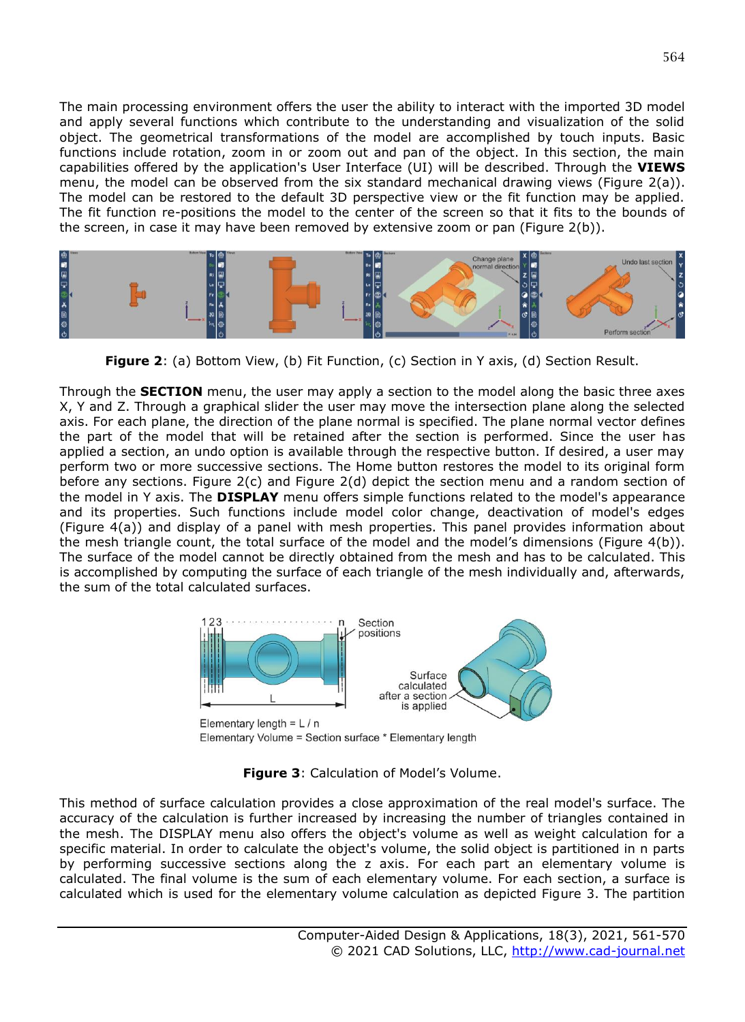The main processing environment offers the user the ability to interact with the imported 3D model and apply several functions which contribute to the understanding and visualization of the solid object. The geometrical transformations of the model are accomplished by touch inputs. Basic functions include rotation, zoom in or zoom out and pan of the object. In this section, the main capabilities offered by the application's User Interface (UI) will be described. Through the **VIEWS** menu, the model can be observed from the six standard mechanical drawing views (Figure 2(a)). The model can be restored to the default 3D perspective view or the fit function may be applied. The fit function re-positions the model to the center of the screen so that it fits to the bounds of the screen, in case it may have been removed by extensive zoom or pan (Figure 2(b)).



**Figure 2**: (a) Bottom View, (b) Fit Function, (c) Section in Y axis, (d) Section Result.

Through the **SECTION** menu, the user may apply a section to the model along the basic three axes X, Y and Z. Through a graphical slider the user may move the intersection plane along the selected axis. For each plane, the direction of the plane normal is specified. The plane normal vector defines the part of the model that will be retained after the section is performed. Since the user has applied a section, an undo option is available through the respective button. If desired, a user may perform two or more successive sections. The Home button restores the model to its original form before any sections. Figure 2(c) and Figure 2(d) depict the section menu and a random section of the model in Y axis. The **DISPLAY** menu offers simple functions related to the model's appearance and its properties. Such functions include model color change, deactivation of model's edges (Figure 4(a)) and display of a panel with mesh properties. This panel provides information about the mesh triangle count, the total surface of the model and the model's dimensions (Figure 4(b)). The surface of the model cannot be directly obtained from the mesh and has to be calculated. This is accomplished by computing the surface of each triangle of the mesh individually and, afterwards, the sum of the total calculated surfaces.



Elementary Volume = Section surface \* Elementary length

**Figure 3**: Calculation of Model's Volume.

This method of surface calculation provides a close approximation of the real model's surface. The accuracy of the calculation is further increased by increasing the number of triangles contained in the mesh. The DISPLAY menu also offers the object's volume as well as weight calculation for a specific material. In order to calculate the object's volume, the solid object is partitioned in n parts by performing successive sections along the z axis. For each part an elementary volume is calculated. The final volume is the sum of each elementary volume. For each section, a surface is calculated which is used for the elementary volume calculation as depicted Figure 3. The partition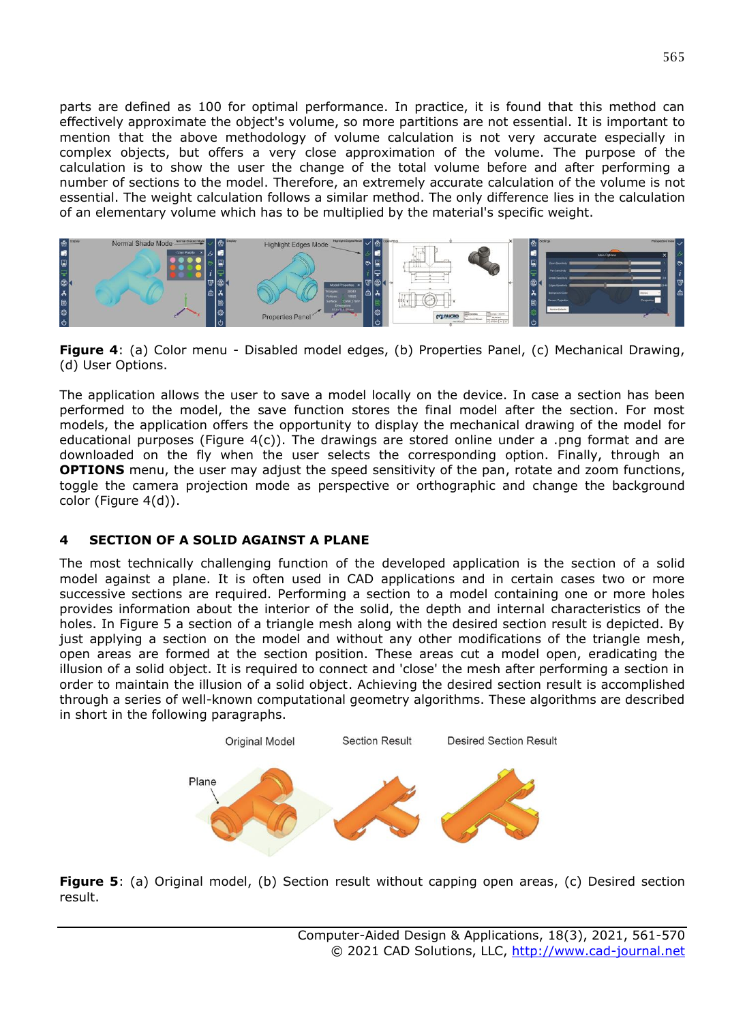parts are defined as 100 for optimal performance. In practice, it is found that this method can effectively approximate the object's volume, so more partitions are not essential. It is important to mention that the above methodology of volume calculation is not very accurate especially in complex objects, but offers a very close approximation of the volume. The purpose of the calculation is to show the user the change of the total volume before and after performing a number of sections to the model. Therefore, an extremely accurate calculation of the volume is not essential. The weight calculation follows a similar method. The only difference lies in the calculation of an elementary volume which has to be multiplied by the material's specific weight.



**Figure 4**: (a) Color menu - Disabled model edges, (b) Properties Panel, (c) Mechanical Drawing, (d) User Options.

The application allows the user to save a model locally on the device. In case a section has been performed to the model, the save function stores the final model after the section. For most models, the application offers the opportunity to display the mechanical drawing of the model for educational purposes (Figure  $4(c)$ ). The drawings are stored online under a .png format and are downloaded on the fly when the user selects the corresponding option. Finally, through an **OPTIONS** menu, the user may adjust the speed sensitivity of the pan, rotate and zoom functions, toggle the camera projection mode as perspective or orthographic and change the background color (Figure 4(d)).

### **4 SECTION OF A SOLID AGAINST A PLANE**

The most technically challenging function of the developed application is the section of a solid model against a plane. It is often used in CAD applications and in certain cases two or more successive sections are required. Performing a section to a model containing one or more holes provides information about the interior of the solid, the depth and internal characteristics of the holes. In Figure 5 a section of a triangle mesh along with the desired section result is depicted. By just applying a section on the model and without any other modifications of the triangle mesh, open areas are formed at the section position. These areas cut a model open, eradicating the illusion of a solid object. It is required to connect and 'close' the mesh after performing a section in order to maintain the illusion of a solid object. Achieving the desired section result is accomplished through a series of well-known computational geometry algorithms. These algorithms are described in short in the following paragraphs.



**Figure 5**: (a) Original model, (b) Section result without capping open areas, (c) Desired section result.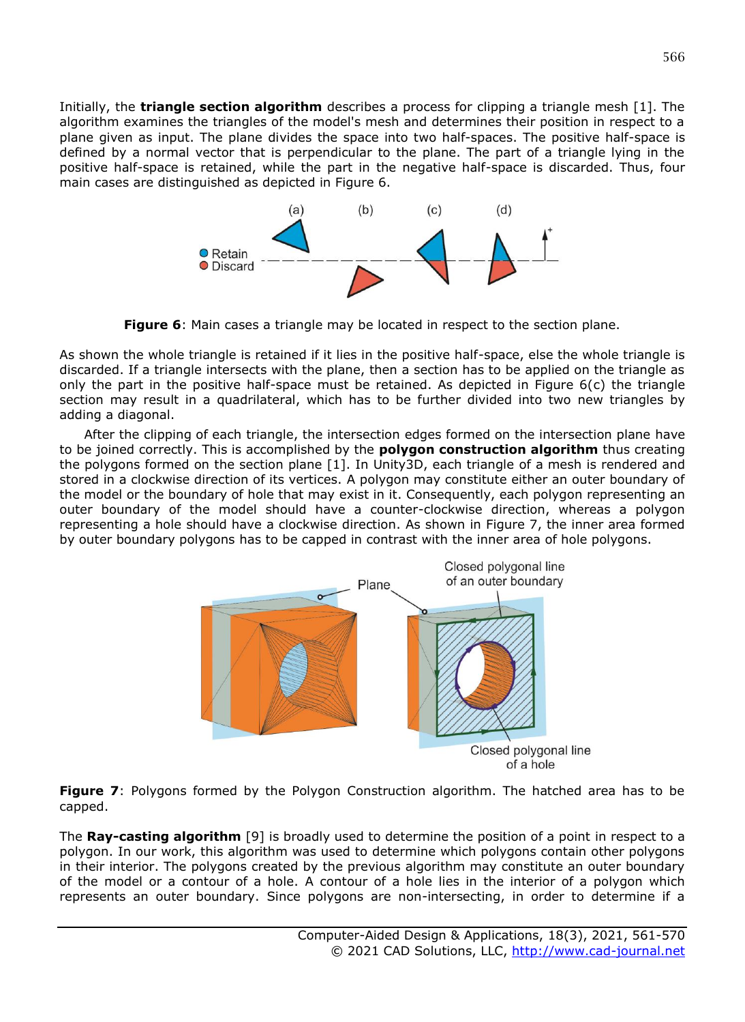Initially, the **triangle section algorithm** describes a process for clipping a triangle mesh [1]. The algorithm examines the triangles of the model's mesh and determines their position in respect to a plane given as input. The plane divides the space into two half-spaces. The positive half-space is defined by a normal vector that is perpendicular to the plane. The part of a triangle lying in the positive half-space is retained, while the part in the negative half-space is discarded. Thus, four main cases are distinguished as depicted in Figure 6.



**Figure 6**: Main cases a triangle may be located in respect to the section plane.

As shown the whole triangle is retained if it lies in the positive half-space, else the whole triangle is discarded. If a triangle intersects with the plane, then a section has to be applied on the triangle as only the part in the positive half-space must be retained. As depicted in Figure 6(c) the triangle section may result in a quadrilateral, which has to be further divided into two new triangles by adding a diagonal.

After the clipping of each triangle, the intersection edges formed on the intersection plane have to be joined correctly. This is accomplished by the **polygon construction algorithm** thus creating the polygons formed on the section plane [1]. In Unity3D, each triangle of a mesh is rendered and stored in a clockwise direction of its vertices. A polygon may constitute either an outer boundary of the model or the boundary of hole that may exist in it. Consequently, each polygon representing an outer boundary of the model should have a counter-clockwise direction, whereas a polygon representing a hole should have a clockwise direction. As shown in Figure 7, the inner area formed by outer boundary polygons has to be capped in contrast with the inner area of hole polygons.



**Figure 7**: Polygons formed by the Polygon Construction algorithm. The hatched area has to be capped.

The **Ray-casting algorithm** [9] is broadly used to determine the position of a point in respect to a polygon. In our work, this algorithm was used to determine which polygons contain other polygons in their interior. The polygons created by the previous algorithm may constitute an outer boundary of the model or a contour of a hole. A contour of a hole lies in the interior of a polygon which represents an outer boundary. Since polygons are non-intersecting, in order to determine if a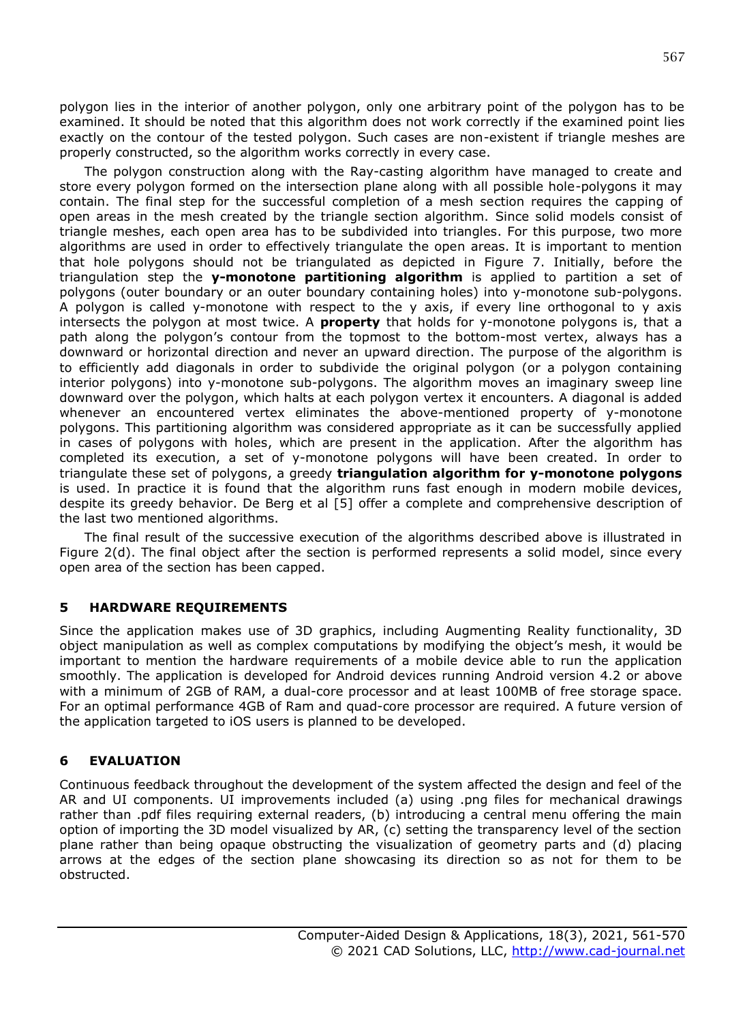polygon lies in the interior of another polygon, only one arbitrary point of the polygon has to be examined. It should be noted that this algorithm does not work correctly if the examined point lies exactly on the contour of the tested polygon. Such cases are non-existent if triangle meshes are properly constructed, so the algorithm works correctly in every case.

The polygon construction along with the Ray-casting algorithm have managed to create and store every polygon formed on the intersection plane along with all possible hole-polygons it may contain. The final step for the successful completion of a mesh section requires the capping of open areas in the mesh created by the triangle section algorithm. Since solid models consist of triangle meshes, each open area has to be subdivided into triangles. For this purpose, two more algorithms are used in order to effectively triangulate the open areas. It is important to mention that hole polygons should not be triangulated as depicted in Figure 7. Initially, before the triangulation step the **y-monotone partitioning algorithm** is applied to partition a set of polygons (outer boundary or an outer boundary containing holes) into y-monotone sub-polygons. A polygon is called y-monotone with respect to the y axis, if every line orthogonal to y axis intersects the polygon at most twice. A **property** that holds for y-monotone polygons is, that a path along the polygon's contour from the topmost to the bottom-most vertex, always has a downward or horizontal direction and never an upward direction. The purpose of the algorithm is to efficiently add diagonals in order to subdivide the original polygon (or a polygon containing interior polygons) into y-monotone sub-polygons. The algorithm moves an imaginary sweep line downward over the polygon, which halts at each polygon vertex it encounters. A diagonal is added whenever an encountered vertex eliminates the above-mentioned property of y-monotone polygons. This partitioning algorithm was considered appropriate as it can be successfully applied in cases of polygons with holes, which are present in the application. After the algorithm has completed its execution, a set of y-monotone polygons will have been created. In order to triangulate these set of polygons, a greedy **triangulation algorithm for y-monotone polygons** is used. In practice it is found that the algorithm runs fast enough in modern mobile devices, despite its greedy behavior. De Berg et al [5] offer a complete and comprehensive description of the last two mentioned algorithms.

The final result of the successive execution of the algorithms described above is illustrated in Figure 2(d). The final object after the section is performed represents a solid model, since every open area of the section has been capped.

### **5 HARDWARE REQUIREMENTS**

Since the application makes use of 3D graphics, including Augmenting Reality functionality, 3D object manipulation as well as complex computations by modifying the object's mesh, it would be important to mention the hardware requirements of a mobile device able to run the application smoothly. The application is developed for Android devices running Android version 4.2 or above with a minimum of 2GB of RAM, a dual-core processor and at least 100MB of free storage space. For an optimal performance 4GB of Ram and quad-core processor are required. A future version of the application targeted to iOS users is planned to be developed.

### **6 EVALUATION**

Continuous feedback throughout the development of the system affected the design and feel of the AR and UI components. UI improvements included (a) using .png files for mechanical drawings rather than .pdf files requiring external readers, (b) introducing a central menu offering the main option of importing the 3D model visualized by AR, (c) setting the transparency level of the section plane rather than being opaque obstructing the visualization of geometry parts and (d) placing arrows at the edges of the section plane showcasing its direction so as not for them to be obstructed.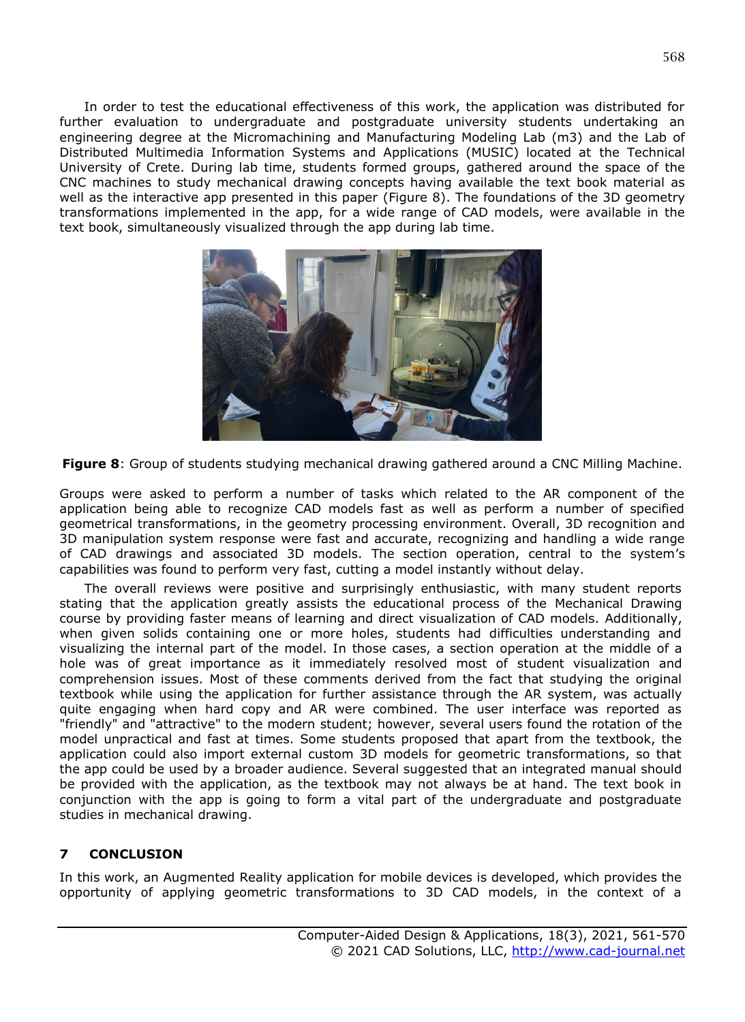In order to test the educational effectiveness of this work, the application was distributed for further evaluation to undergraduate and postgraduate university students undertaking an engineering degree at the Micromachining and Manufacturing Modeling Lab (m3) and the Lab of Distributed Multimedia Information Systems and Applications (MUSIC) located at the Technical University of Crete. During lab time, students formed groups, gathered around the space of the CNC machines to study mechanical drawing concepts having available the text book material as well as the interactive app presented in this paper (Figure 8). The foundations of the 3D geometry transformations implemented in the app, for a wide range of CAD models, were available in the text book, simultaneously visualized through the app during lab time.



**Figure 8**: Group of students studying mechanical drawing gathered around a CNC Milling Machine.

Groups were asked to perform a number of tasks which related to the AR component of the application being able to recognize CAD models fast as well as perform a number of specified geometrical transformations, in the geometry processing environment. Overall, 3D recognition and 3D manipulation system response were fast and accurate, recognizing and handling a wide range of CAD drawings and associated 3D models. The section operation, central to the system's capabilities was found to perform very fast, cutting a model instantly without delay.

The overall reviews were positive and surprisingly enthusiastic, with many student reports stating that the application greatly assists the educational process of the Mechanical Drawing course by providing faster means of learning and direct visualization of CAD models. Additionally, when given solids containing one or more holes, students had difficulties understanding and visualizing the internal part of the model. In those cases, a section operation at the middle of a hole was of great importance as it immediately resolved most of student visualization and comprehension issues. Most of these comments derived from the fact that studying the original textbook while using the application for further assistance through the AR system, was actually quite engaging when hard copy and AR were combined. The user interface was reported as "friendly" and "attractive" to the modern student; however, several users found the rotation of the model unpractical and fast at times. Some students proposed that apart from the textbook, the application could also import external custom 3D models for geometric transformations, so that the app could be used by a broader audience. Several suggested that an integrated manual should be provided with the application, as the textbook may not always be at hand. The text book in conjunction with the app is going to form a vital part of the undergraduate and postgraduate studies in mechanical drawing.

## **7 CONCLUSION**

In this work, an Augmented Reality application for mobile devices is developed, which provides the opportunity of applying geometric transformations to 3D CAD models, in the context of a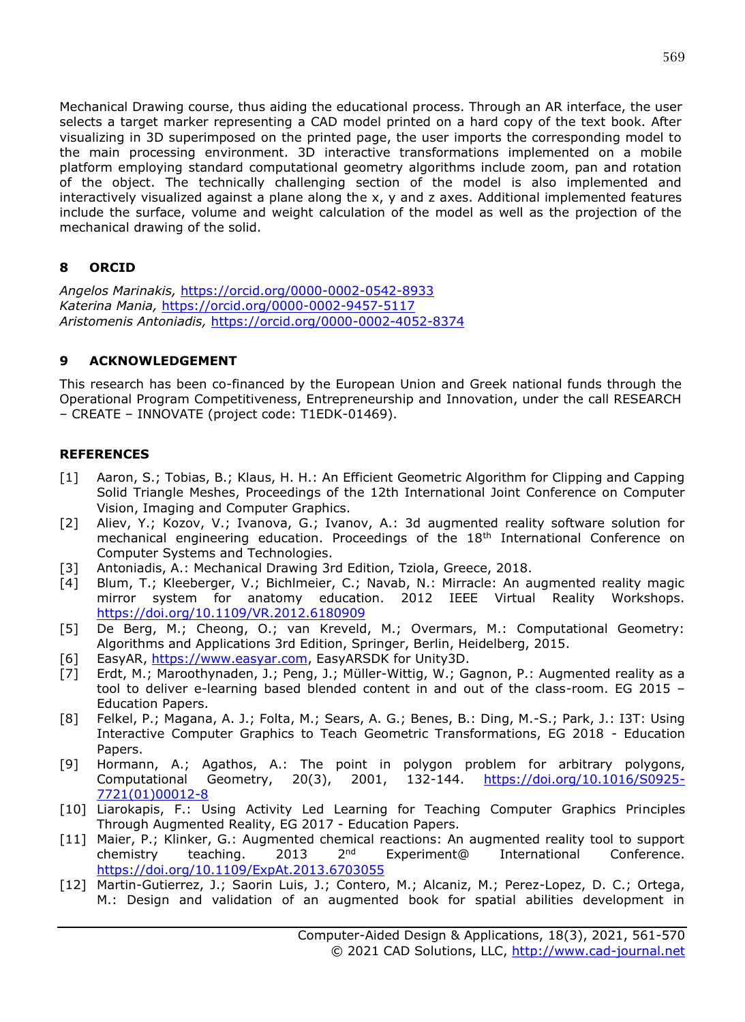Mechanical Drawing course, thus aiding the educational process. Through an AR interface, the user selects a target marker representing a CAD model printed on a hard copy of the text book. After visualizing in 3D superimposed on the printed page, the user imports the corresponding model to the main processing environment. 3D interactive transformations implemented on a mobile platform employing standard computational geometry algorithms include zoom, pan and rotation of the object. The technically challenging section of the model is also implemented and interactively visualized against a plane along the x, y and z axes. Additional implemented features include the surface, volume and weight calculation of the model as well as the projection of the mechanical drawing of the solid.

# **8 ORCID**

*Angelos Marinakis,* <https://orcid.org/0000-0002-0542-8933> *Katerina Mania,* <https://orcid.org/0000-0002-9457-5117> *Aristomenis Antoniadis,* <https://orcid.org/0000-0002-4052-8374>

## **9 ACKNOWLEDGEMENT**

This research has been co-financed by the European Union and Greek national funds through the Operational Program Competitiveness, Entrepreneurship and Innovation, under the call RESEARCH – CREATE – INNOVATE (project code: T1EDK-01469).

## **REFERENCES**

- [1] Aaron, S.; Tobias, B.; Klaus, H. H.: An Efficient Geometric Algorithm for Clipping and Capping Solid Triangle Meshes, Proceedings of the 12th International Joint Conference on Computer Vision, Imaging and Computer Graphics.
- [2] Aliev, Y.; Kozov, V.; Ivanova, G.; Ivanov, A.: 3d augmented reality software solution for mechanical engineering education. Proceedings of the 18th International Conference on Computer Systems and Technologies.
- [3] Antoniadis, A.: Mechanical Drawing 3rd Edition, Tziola, Greece, 2018.
- [4] Blum, T.; Kleeberger, V.; Bichlmeier, C.; Navab, N.: Mirracle: An augmented reality magic mirror system for anatomy education. 2012 IEEE Virtual Reality Workshops. <https://doi.org/10.1109/VR.2012.6180909>
- [5] De Berg, M.; Cheong, O.; van Kreveld, M.; Overmars, M.: Computational Geometry: Algorithms and Applications 3rd Edition, Springer, Berlin, Heidelberg, 2015.
- [6] EasyAR, [https://www.easyar.com,](https://www.easyar.com/) EasyARSDK for Unity3D.
- [7] Erdt, M.; Maroothynaden, J.; Peng, J.; Müller-Wittig, W.; Gagnon, P.: Augmented reality as a tool to deliver e-learning based blended content in and out of the class-room. EG 2015 – Education Papers.
- [8] Felkel, P.; Magana, A. J.; Folta, M.; Sears, A. G.; Benes, B.: Ding, M.-S.; Park, J.: I3T: Using Interactive Computer Graphics to Teach Geometric Transformations, EG 2018 - Education Papers.
- [9] Hormann, A.; Agathos, A.: The point in polygon problem for arbitrary polygons, Computational Geometry, 20(3), 2001, 132-144. [https://doi.org/10.1016/S0925-](https://doi.org/10.1016/S0925-7721(01)00012-8) [7721\(01\)00012-8](https://doi.org/10.1016/S0925-7721(01)00012-8)
- [10] Liarokapis, F.: Using Activity Led Learning for Teaching Computer Graphics Principles Through Augmented Reality, EG 2017 - Education Papers.
- [11] Maier, P.; Klinker, G.: Augmented chemical reactions: An augmented reality tool to support chemistry teaching. 2013 2<sup>nd</sup> Experiment@ International Conference chemistry teaching. 2013  $2^{nd}$  Experiment@ International Conference. <https://doi.org/10.1109/ExpAt.2013.6703055>
- [12] Martin-Gutierrez, J.; Saorin Luis, J.; Contero, M.; Alcaniz, M.; Perez-Lopez, D. C.; Ortega, M.: Design and validation of an augmented book for spatial abilities development in